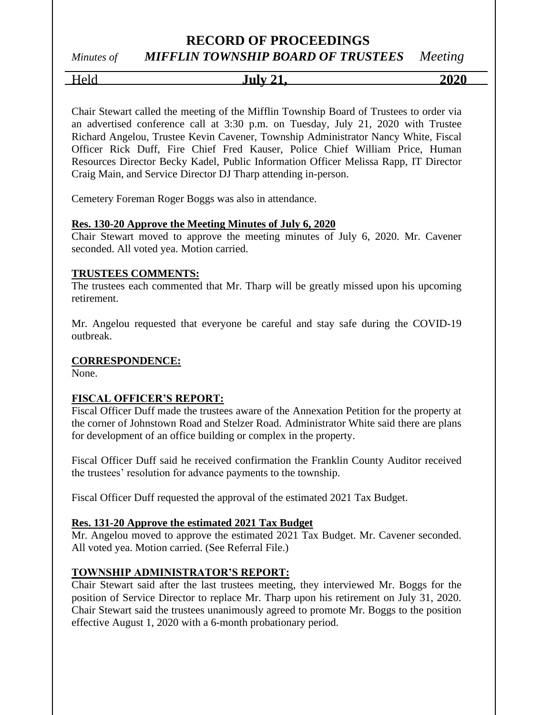# *Minutes of MIFFLIN TOWNSHIP BOARD OF TRUSTEES Meeting*

Held **July 21, 2020**

Chair Stewart called the meeting of the Mifflin Township Board of Trustees to order via an advertised conference call at 3:30 p.m. on Tuesday, July 21, 2020 with Trustee Richard Angelou, Trustee Kevin Cavener, Township Administrator Nancy White, Fiscal Officer Rick Duff, Fire Chief Fred Kauser, Police Chief William Price, Human Resources Director Becky Kadel, Public Information Officer Melissa Rapp, IT Director Craig Main, and Service Director DJ Tharp attending in-person.

Cemetery Foreman Roger Boggs was also in attendance.

### **Res. 130-20 Approve the Meeting Minutes of July 6, 2020**

Chair Stewart moved to approve the meeting minutes of July 6, 2020. Mr. Cavener seconded. All voted yea. Motion carried.

#### **TRUSTEES COMMENTS:**

The trustees each commented that Mr. Tharp will be greatly missed upon his upcoming retirement.

Mr. Angelou requested that everyone be careful and stay safe during the COVID-19 outbreak.

### **CORRESPONDENCE:**

None.

### **FISCAL OFFICER'S REPORT:**

Fiscal Officer Duff made the trustees aware of the Annexation Petition for the property at the corner of Johnstown Road and Stelzer Road. Administrator White said there are plans for development of an office building or complex in the property.

Fiscal Officer Duff said he received confirmation the Franklin County Auditor received the trustees' resolution for advance payments to the township.

Fiscal Officer Duff requested the approval of the estimated 2021 Tax Budget.

#### **Res. 131-20 Approve the estimated 2021 Tax Budget**

Mr. Angelou moved to approve the estimated 2021 Tax Budget. Mr. Cavener seconded. All voted yea. Motion carried. (See Referral File.)

### **TOWNSHIP ADMINISTRATOR'S REPORT:**

Chair Stewart said after the last trustees meeting, they interviewed Mr. Boggs for the position of Service Director to replace Mr. Tharp upon his retirement on July 31, 2020. Chair Stewart said the trustees unanimously agreed to promote Mr. Boggs to the position effective August 1, 2020 with a 6-month probationary period.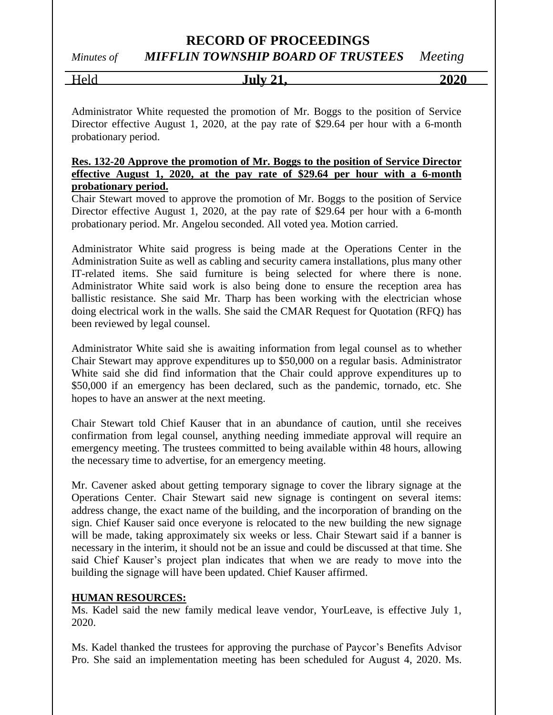*Minutes of MIFFLIN TOWNSHIP BOARD OF TRUSTEES Meeting*

| Held<br>$\sim$ | Julv <sub>21</sub> | 2020 |
|----------------|--------------------|------|
|                |                    |      |

Administrator White requested the promotion of Mr. Boggs to the position of Service Director effective August 1, 2020, at the pay rate of \$29.64 per hour with a 6-month probationary period.

### **Res. 132-20 Approve the promotion of Mr. Boggs to the position of Service Director effective August 1, 2020, at the pay rate of \$29.64 per hour with a 6-month probationary period.**

Chair Stewart moved to approve the promotion of Mr. Boggs to the position of Service Director effective August 1, 2020, at the pay rate of \$29.64 per hour with a 6-month probationary period. Mr. Angelou seconded. All voted yea. Motion carried.

Administrator White said progress is being made at the Operations Center in the Administration Suite as well as cabling and security camera installations, plus many other IT-related items. She said furniture is being selected for where there is none. Administrator White said work is also being done to ensure the reception area has ballistic resistance. She said Mr. Tharp has been working with the electrician whose doing electrical work in the walls. She said the CMAR Request for Quotation (RFQ) has been reviewed by legal counsel.

Administrator White said she is awaiting information from legal counsel as to whether Chair Stewart may approve expenditures up to \$50,000 on a regular basis. Administrator White said she did find information that the Chair could approve expenditures up to \$50,000 if an emergency has been declared, such as the pandemic, tornado, etc. She hopes to have an answer at the next meeting.

Chair Stewart told Chief Kauser that in an abundance of caution, until she receives confirmation from legal counsel, anything needing immediate approval will require an emergency meeting. The trustees committed to being available within 48 hours, allowing the necessary time to advertise, for an emergency meeting.

Mr. Cavener asked about getting temporary signage to cover the library signage at the Operations Center. Chair Stewart said new signage is contingent on several items: address change, the exact name of the building, and the incorporation of branding on the sign. Chief Kauser said once everyone is relocated to the new building the new signage will be made, taking approximately six weeks or less. Chair Stewart said if a banner is necessary in the interim, it should not be an issue and could be discussed at that time. She said Chief Kauser's project plan indicates that when we are ready to move into the building the signage will have been updated. Chief Kauser affirmed.

### **HUMAN RESOURCES:**

Ms. Kadel said the new family medical leave vendor, YourLeave, is effective July 1, 2020.

Ms. Kadel thanked the trustees for approving the purchase of Paycor's Benefits Advisor Pro. She said an implementation meeting has been scheduled for August 4, 2020. Ms.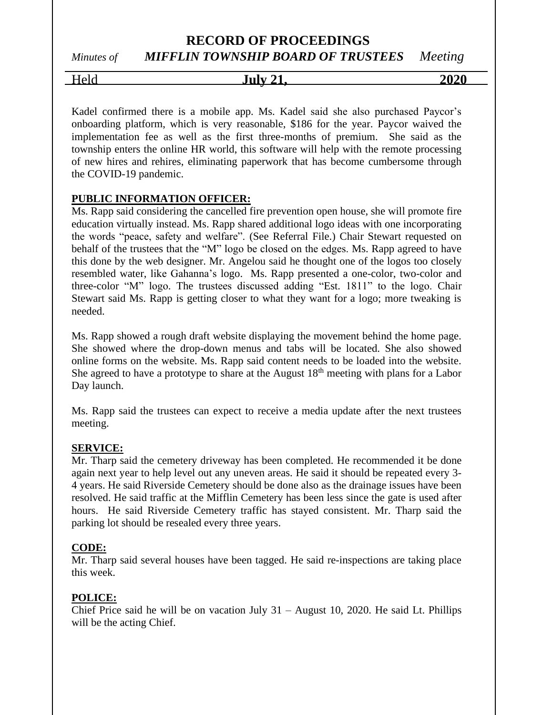# *Minutes of MIFFLIN TOWNSHIP BOARD OF TRUSTEES Meeting*

Held **July 21, 2020**

Kadel confirmed there is a mobile app. Ms. Kadel said she also purchased Paycor's onboarding platform, which is very reasonable, \$186 for the year. Paycor waived the implementation fee as well as the first three-months of premium. She said as the township enters the online HR world, this software will help with the remote processing of new hires and rehires, eliminating paperwork that has become cumbersome through the COVID-19 pandemic.

### **PUBLIC INFORMATION OFFICER:**

Ms. Rapp said considering the cancelled fire prevention open house, she will promote fire education virtually instead. Ms. Rapp shared additional logo ideas with one incorporating the words "peace, safety and welfare". (See Referral File.) Chair Stewart requested on behalf of the trustees that the "M" logo be closed on the edges. Ms. Rapp agreed to have this done by the web designer. Mr. Angelou said he thought one of the logos too closely resembled water, like Gahanna's logo. Ms. Rapp presented a one-color, two-color and three-color "M" logo. The trustees discussed adding "Est. 1811" to the logo. Chair Stewart said Ms. Rapp is getting closer to what they want for a logo; more tweaking is needed.

Ms. Rapp showed a rough draft website displaying the movement behind the home page. She showed where the drop-down menus and tabs will be located. She also showed online forms on the website. Ms. Rapp said content needs to be loaded into the website. She agreed to have a prototype to share at the August  $18<sup>th</sup>$  meeting with plans for a Labor Day launch.

Ms. Rapp said the trustees can expect to receive a media update after the next trustees meeting.

### **SERVICE:**

Mr. Tharp said the cemetery driveway has been completed. He recommended it be done again next year to help level out any uneven areas. He said it should be repeated every 3- 4 years. He said Riverside Cemetery should be done also as the drainage issues have been resolved. He said traffic at the Mifflin Cemetery has been less since the gate is used after hours. He said Riverside Cemetery traffic has stayed consistent. Mr. Tharp said the parking lot should be resealed every three years.

### **CODE:**

Mr. Tharp said several houses have been tagged. He said re-inspections are taking place this week.

### **POLICE:**

Chief Price said he will be on vacation July 31 – August 10, 2020. He said Lt. Phillips will be the acting Chief.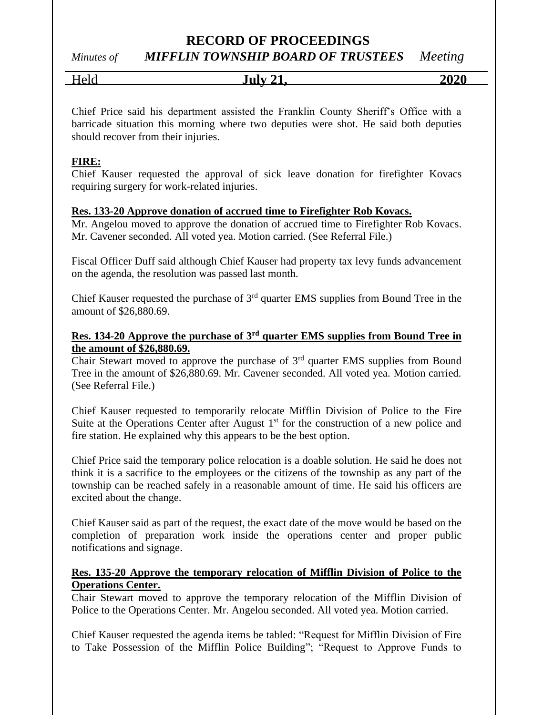# *Minutes of MIFFLIN TOWNSHIP BOARD OF TRUSTEES Meeting*

Held **July 21, 2020**

Chief Price said his department assisted the Franklin County Sheriff's Office with a barricade situation this morning where two deputies were shot. He said both deputies should recover from their injuries.

## **FIRE:**

Chief Kauser requested the approval of sick leave donation for firefighter Kovacs requiring surgery for work-related injuries.

## **Res. 133-20 Approve donation of accrued time to Firefighter Rob Kovacs.**

Mr. Angelou moved to approve the donation of accrued time to Firefighter Rob Kovacs. Mr. Cavener seconded. All voted yea. Motion carried. (See Referral File.)

Fiscal Officer Duff said although Chief Kauser had property tax levy funds advancement on the agenda, the resolution was passed last month.

Chief Kauser requested the purchase of  $3<sup>rd</sup>$  quarter EMS supplies from Bound Tree in the amount of \$26,880.69.

### **Res. 134-20 Approve the purchase of 3rd quarter EMS supplies from Bound Tree in the amount of \$26,880.69.**

Chair Stewart moved to approve the purchase of  $3<sup>rd</sup>$  quarter EMS supplies from Bound Tree in the amount of \$26,880.69. Mr. Cavener seconded. All voted yea. Motion carried. (See Referral File.)

Chief Kauser requested to temporarily relocate Mifflin Division of Police to the Fire Suite at the Operations Center after August  $1<sup>st</sup>$  for the construction of a new police and fire station. He explained why this appears to be the best option.

Chief Price said the temporary police relocation is a doable solution. He said he does not think it is a sacrifice to the employees or the citizens of the township as any part of the township can be reached safely in a reasonable amount of time. He said his officers are excited about the change.

Chief Kauser said as part of the request, the exact date of the move would be based on the completion of preparation work inside the operations center and proper public notifications and signage.

## **Res. 135-20 Approve the temporary relocation of Mifflin Division of Police to the Operations Center.**

Chair Stewart moved to approve the temporary relocation of the Mifflin Division of Police to the Operations Center. Mr. Angelou seconded. All voted yea. Motion carried.

Chief Kauser requested the agenda items be tabled: "Request for Mifflin Division of Fire to Take Possession of the Mifflin Police Building"; "Request to Approve Funds to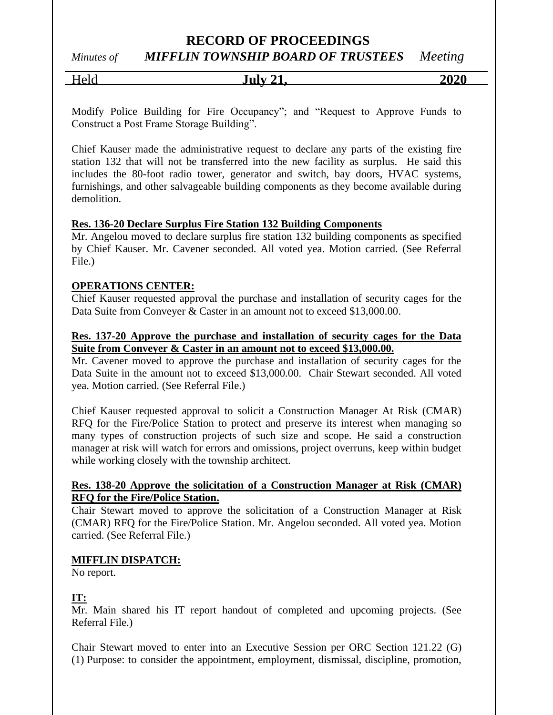*Minutes of MIFFLIN TOWNSHIP BOARD OF TRUSTEES Meeting*

| relc | $\mathrm{July}~2^{\mathrm{*}}$ | 2020 |
|------|--------------------------------|------|
|      |                                |      |

Modify Police Building for Fire Occupancy"; and "Request to Approve Funds to Construct a Post Frame Storage Building".

Chief Kauser made the administrative request to declare any parts of the existing fire station 132 that will not be transferred into the new facility as surplus. He said this includes the 80-foot radio tower, generator and switch, bay doors, HVAC systems, furnishings, and other salvageable building components as they become available during demolition.

### **Res. 136-20 Declare Surplus Fire Station 132 Building Components**

Mr. Angelou moved to declare surplus fire station 132 building components as specified by Chief Kauser. Mr. Cavener seconded. All voted yea. Motion carried. (See Referral File.)

### **OPERATIONS CENTER:**

Chief Kauser requested approval the purchase and installation of security cages for the Data Suite from Conveyer & Caster in an amount not to exceed \$13,000.00.

### **Res. 137-20 Approve the purchase and installation of security cages for the Data Suite from Conveyer & Caster in an amount not to exceed \$13,000.00.**

Mr. Cavener moved to approve the purchase and installation of security cages for the Data Suite in the amount not to exceed \$13,000.00. Chair Stewart seconded. All voted yea. Motion carried. (See Referral File.)

Chief Kauser requested approval to solicit a Construction Manager At Risk (CMAR) RFQ for the Fire/Police Station to protect and preserve its interest when managing so many types of construction projects of such size and scope. He said a construction manager at risk will watch for errors and omissions, project overruns, keep within budget while working closely with the township architect.

### **Res. 138-20 Approve the solicitation of a Construction Manager at Risk (CMAR) RFQ for the Fire/Police Station.**

Chair Stewart moved to approve the solicitation of a Construction Manager at Risk (CMAR) RFQ for the Fire/Police Station. Mr. Angelou seconded. All voted yea. Motion carried. (See Referral File.)

### **MIFFLIN DISPATCH:**

No report.

### **IT:**

Mr. Main shared his IT report handout of completed and upcoming projects. (See Referral File.)

Chair Stewart moved to enter into an Executive Session per ORC Section 121.22 (G) (1) Purpose: to consider the appointment, employment, dismissal, discipline, promotion,